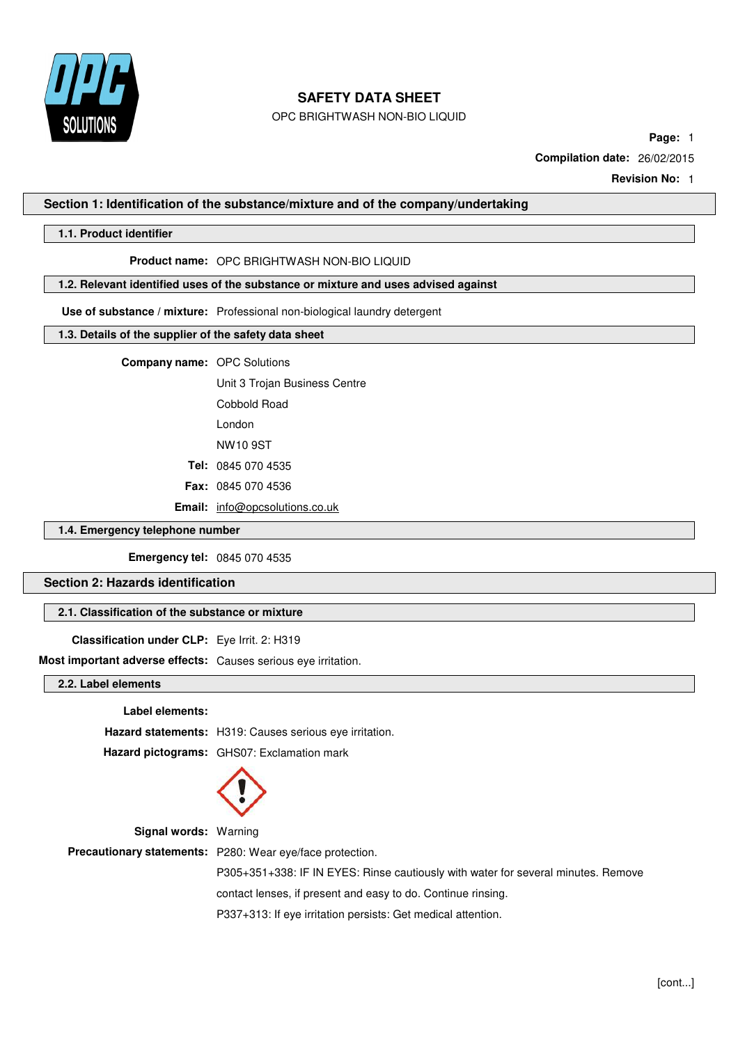

OPC BRIGHTWASH NON-BIO LIQUID

**Page:** 1

**Compilation date:** 26/02/2015

**Revision No:** 1

## **Section 1: Identification of the substance/mixture and of the company/undertaking**

# **1.1. Product identifier**

#### **Product name:** OPC BRIGHTWASH NON-BIO LIQUID

# **1.2. Relevant identified uses of the substance or mixture and uses advised against**

**Use of substance / mixture:** Professional non-biological laundry detergent

## **1.3. Details of the supplier of the safety data sheet**

**Company name:** OPC Solutions

Unit 3 Trojan Business Centre

Cobbold Road London

NW10 9ST

**Tel:** 0845 070 4535

**Fax:** 0845 070 4536

**Email:** [info@opcsolutions.co.uk](mailto:info@opcsolutions.co.uk)

## **1.4. Emergency telephone number**

**Emergency tel:** 0845 070 4535

**Section 2: Hazards identification**

# **2.1. Classification of the substance or mixture**

**Classification under CLP:** Eye Irrit. 2: H319

**Most important adverse effects:** Causes serious eye irritation.

**2.2. Label elements**

#### **Label elements:**

**Hazard statements:** H319: Causes serious eye irritation. **Hazard pictograms:** GHS07: Exclamation mark



**Signal words:** Warning

**Precautionary statements:** P280: Wear eye/face protection.

P305+351+338: IF IN EYES: Rinse cautiously with water for several minutes. Remove

contact lenses, if present and easy to do. Continue rinsing.

P337+313: If eye irritation persists: Get medical attention.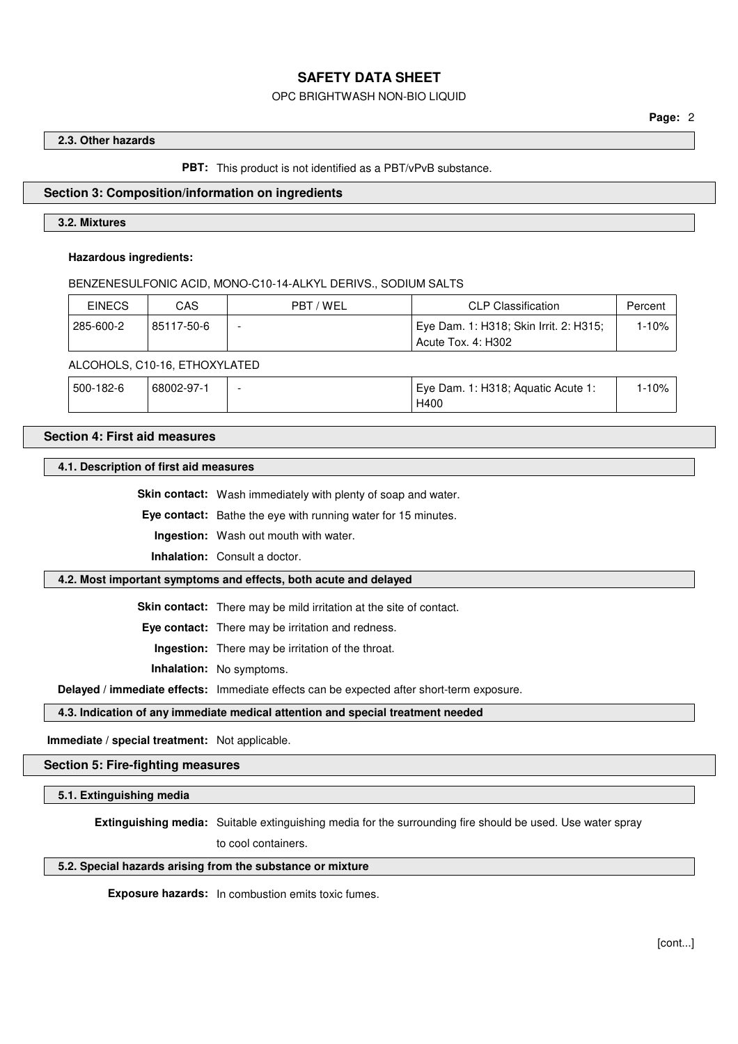## OPC BRIGHTWASH NON-BIO LIQUID

#### **2.3. Other hazards**

**PBT:** This product is not identified as a PBT/vPvB substance.

## **Section 3: Composition/information on ingredients**

### **3.2. Mixtures**

#### **Hazardous ingredients:**

BENZENESULFONIC ACID, MONO-C10-14-ALKYL DERIVS., SODIUM SALTS

| <b>EINECS</b> | CAS                           | PBT / WEL | CLP Classification                                                        | Percent |
|---------------|-------------------------------|-----------|---------------------------------------------------------------------------|---------|
| 285-600-2     | 85117-50-6                    | -         | Eye Dam. 1: H318; Skin Irrit. 2: H315;<br><sup>1</sup> Acute Tox. 4: H302 | 1-10%   |
|               | ALCOHOLS, C10-16, ETHOXYLATED |           |                                                                           |         |

| 500-182-6 | 68002-97-1 | Eye Dam. 1: H318; Aquatic Acute 1: | 1-10% |
|-----------|------------|------------------------------------|-------|
|           |            | H400                               |       |

#### **Section 4: First aid measures**

#### **4.1. Description of first aid measures**

**Skin contact:** Wash immediately with plenty of soap and water.

**Eye contact:** Bathe the eye with running water for 15 minutes.

**Ingestion:** Wash out mouth with water.

**Inhalation:** Consult a doctor.

#### **4.2. Most important symptoms and effects, both acute and delayed**

**Skin contact:** There may be mild irritation at the site of contact.

**Eye contact:** There may be irritation and redness.

**Ingestion:** There may be irritation of the throat.

**Inhalation:** No symptoms.

**Delayed / immediate effects:** Immediate effects can be expected after short-term exposure.

# **4.3. Indication of any immediate medical attention and special treatment needed**

#### **Immediate / special treatment:** Not applicable.

#### **Section 5: Fire-fighting measures**

#### **5.1. Extinguishing media**

**Extinguishing media:** Suitable extinguishing media for the surrounding fire should be used. Use water spray

to cool containers.

#### **5.2. Special hazards arising from the substance or mixture**

**Exposure hazards:** In combustion emits toxic fumes.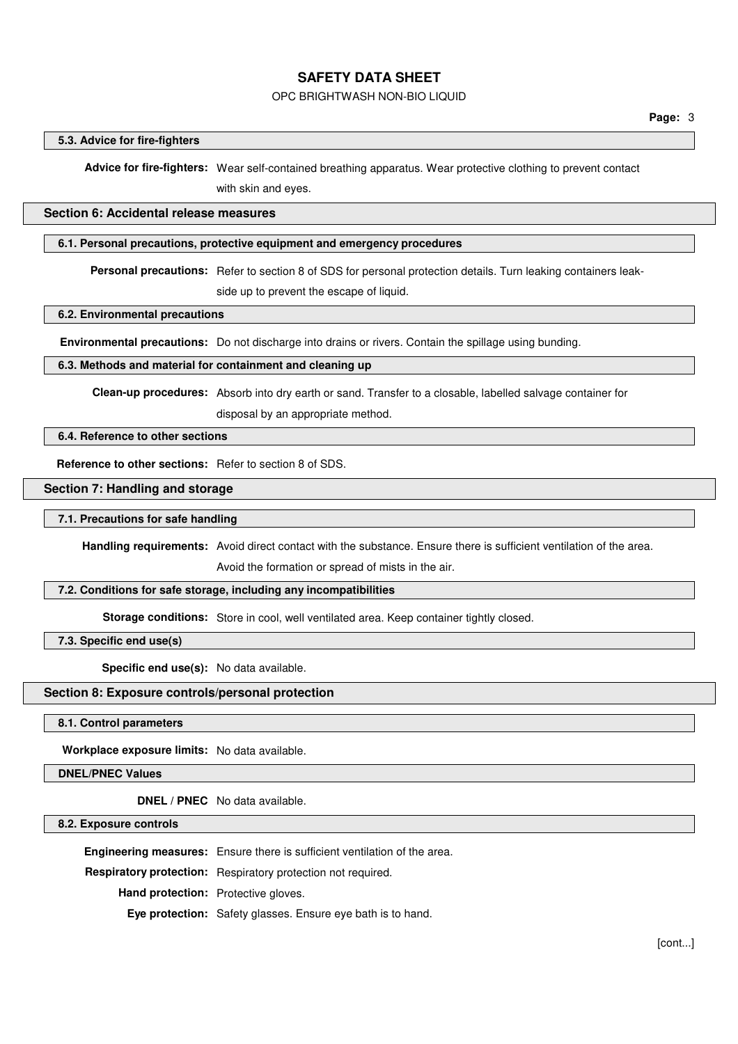# OPC BRIGHTWASH NON-BIO LIQUID

#### **5.3. Advice for fire-fighters**

**Advice for fire-fighters:** Wear self-contained breathing apparatus. Wear protective clothing to prevent contact with skin and eyes.

# **Section 6: Accidental release measures**

#### **6.1. Personal precautions, protective equipment and emergency procedures**

**Personal precautions:** Refer to section 8 of SDS for personal protection details. Turn leaking containers leak-

side up to prevent the escape of liquid.

**6.2. Environmental precautions**

**Environmental precautions:** Do not discharge into drains or rivers. Contain the spillage using bunding.

## **6.3. Methods and material for containment and cleaning up**

**Clean-up procedures:** Absorb into dry earth or sand. Transfer to a closable, labelled salvage container for disposal by an appropriate method.

#### **6.4. Reference to other sections**

**Reference to other sections:** Refer to section 8 of SDS.

#### **Section 7: Handling and storage**

**7.1. Precautions for safe handling**

**Handling requirements:** Avoid direct contact with the substance. Ensure there is sufficient ventilation of the area.

Avoid the formation or spread of mists in the air.

#### **7.2. Conditions for safe storage, including any incompatibilities**

**Storage conditions:** Store in cool, well ventilated area. Keep container tightly closed.

**7.3. Specific end use(s)**

**Specific end use(s):** No data available.

# **Section 8: Exposure controls/personal protection**

**8.1. Control parameters**

**Workplace exposure limits:** No data available.

#### **DNEL/PNEC Values**

**DNEL / PNEC** No data available.

**8.2. Exposure controls**

**Engineering measures:** Ensure there is sufficient ventilation of the area. **Respiratory protection:** Respiratory protection not required. **Hand protection:** Protective gloves. **Eye protection:** Safety glasses. Ensure eye bath is to hand.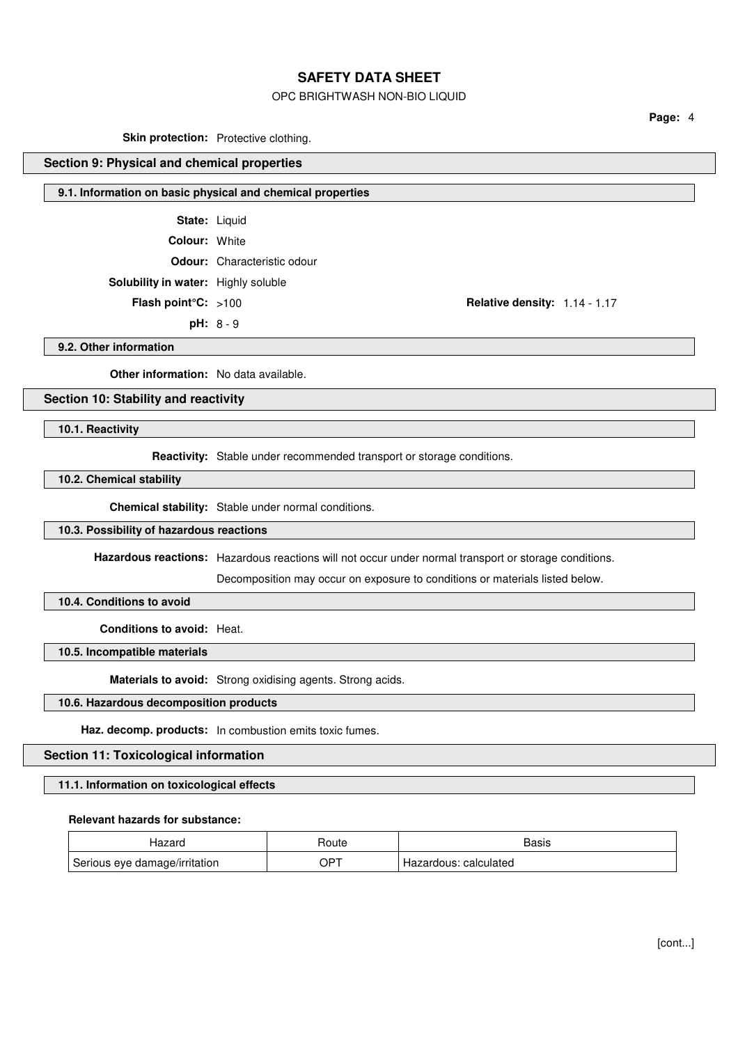# OPC BRIGHTWASH NON-BIO LIQUID

**Page:** 4

**Skin protection:** Protective clothing.

# **Section 9: Physical and chemical properties**

# **9.1. Information on basic physical and chemical properties**

**State:** Liquid

**Colour:** White

#### **Odour:** Characteristic odour

**Solubility in water:** Highly soluble

**pH:** 8 - 9

**Flash point°C:** >100 **Relative density:** 1.14 - 1.17

**9.2. Other information**

**Other information:** No data available.

# **Section 10: Stability and reactivity**

**10.1. Reactivity**

**Reactivity:** Stable under recommended transport or storage conditions.

#### **10.2. Chemical stability**

**Chemical stability:** Stable under normal conditions.

## **10.3. Possibility of hazardous reactions**

**Hazardous reactions:** Hazardous reactions will not occur under normal transport or storage conditions.

Decomposition may occur on exposure to conditions or materials listed below.

# **10.4. Conditions to avoid**

**Conditions to avoid:** Heat.

# **10.5. Incompatible materials**

**Materials to avoid:** Strong oxidising agents. Strong acids.

# **10.6. Hazardous decomposition products**

**Haz. decomp. products:** In combustion emits toxic fumes.

### **Section 11: Toxicological information**

#### **11.1. Information on toxicological effects**

## **Relevant hazards for substance:**

| ラヘン<br>iazaiu                 | Houte | Basis                 |
|-------------------------------|-------|-----------------------|
| Serious eye damage/irritation | OPT   | Hazardous: calculated |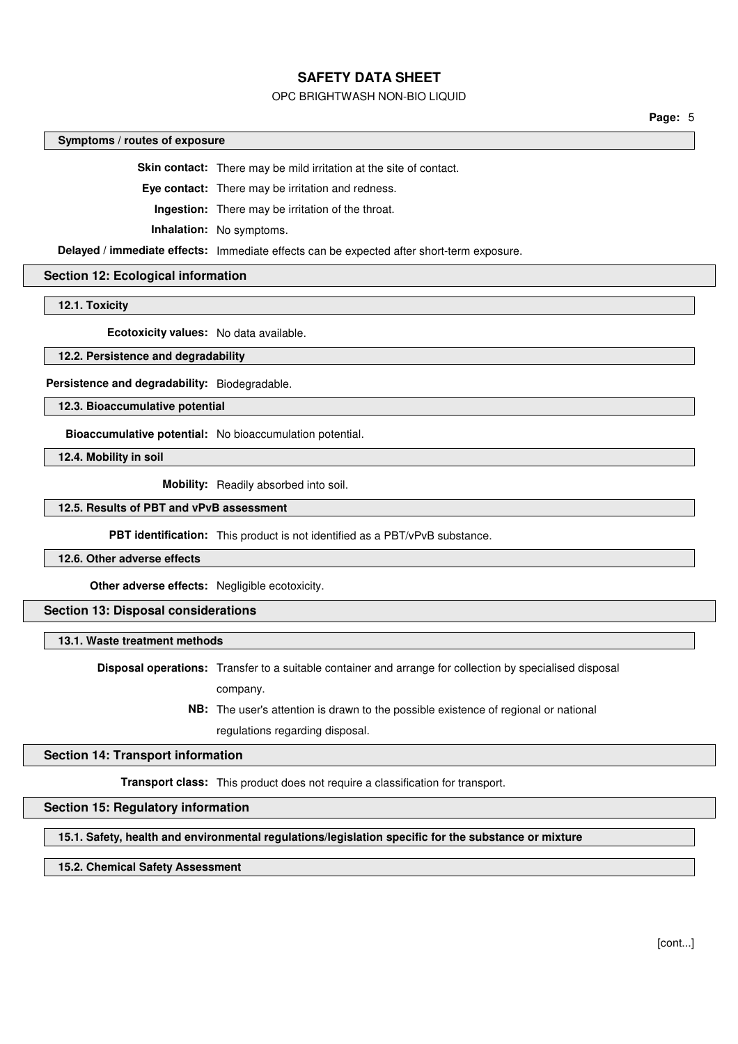## OPC BRIGHTWASH NON-BIO LIQUID

**Page:** 5

# **Symptoms / routes of exposure**

**Skin contact:** There may be mild irritation at the site of contact.

**Eye contact:** There may be irritation and redness.

**Ingestion:** There may be irritation of the throat.

**Inhalation:** No symptoms.

**Delayed / immediate effects:** Immediate effects can be expected after short-term exposure.

#### **Section 12: Ecological information**

**12.1. Toxicity**

**Ecotoxicity values:** No data available.

**12.2. Persistence and degradability**

**Persistence and degradability:** Biodegradable.

**12.3. Bioaccumulative potential**

**Bioaccumulative potential:** No bioaccumulation potential.

**12.4. Mobility in soil**

**Mobility:** Readily absorbed into soil.

#### **12.5. Results of PBT and vPvB assessment**

**PBT identification:** This product is not identified as a PBT/vPvB substance.

#### **12.6. Other adverse effects**

**Other adverse effects:** Negligible ecotoxicity.

#### **Section 13: Disposal considerations**

#### **13.1. Waste treatment methods**

**Disposal operations:** Transfer to a suitable container and arrange for collection by specialised disposal company.

> **NB:** The user's attention is drawn to the possible existence of regional or national regulations regarding disposal.

### **Section 14: Transport information**

**Transport class:** This product does not require a classification for transport.

# **Section 15: Regulatory information**

#### **15.1. Safety, health and environmental regulations/legislation specific for the substance or mixture**

## **15.2. Chemical Safety Assessment**